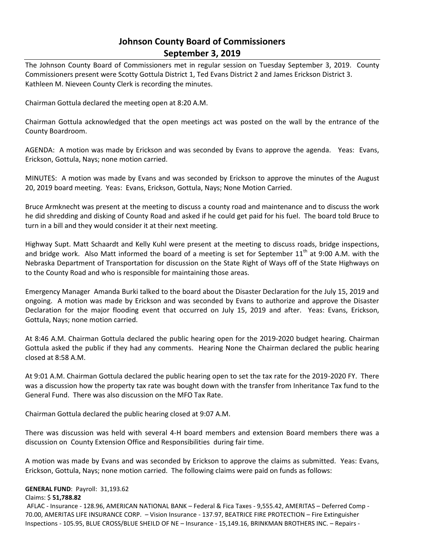# **Johnson County Board of Commissioners September 3, 2019**

The Johnson County Board of Commissioners met in regular session on Tuesday September 3, 2019. County Commissioners present were Scotty Gottula District 1, Ted Evans District 2 and James Erickson District 3. Kathleen M. Nieveen County Clerk is recording the minutes.

Chairman Gottula declared the meeting open at 8:20 A.M.

Chairman Gottula acknowledged that the open meetings act was posted on the wall by the entrance of the County Boardroom.

AGENDA: A motion was made by Erickson and was seconded by Evans to approve the agenda. Yeas: Evans, Erickson, Gottula, Nays; none motion carried.

MINUTES: A motion was made by Evans and was seconded by Erickson to approve the minutes of the August 20, 2019 board meeting. Yeas: Evans, Erickson, Gottula, Nays; None Motion Carried.

Bruce Armknecht was present at the meeting to discuss a county road and maintenance and to discuss the work he did shredding and disking of County Road and asked if he could get paid for his fuel. The board told Bruce to turn in a bill and they would consider it at their next meeting.

Highway Supt. Matt Schaardt and Kelly Kuhl were present at the meeting to discuss roads, bridge inspections, and bridge work. Also Matt informed the board of a meeting is set for September  $11<sup>th</sup>$  at 9:00 A.M. with the Nebraska Department of Transportation for discussion on the State Right of Ways off of the State Highways on to the County Road and who is responsible for maintaining those areas.

Emergency Manager Amanda Burki talked to the board about the Disaster Declaration for the July 15, 2019 and ongoing. A motion was made by Erickson and was seconded by Evans to authorize and approve the Disaster Declaration for the major flooding event that occurred on July 15, 2019 and after. Yeas: Evans, Erickson, Gottula, Nays; none motion carried.

At 8:46 A.M. Chairman Gottula declared the public hearing open for the 2019-2020 budget hearing. Chairman Gottula asked the public if they had any comments. Hearing None the Chairman declared the public hearing closed at 8:58 A.M.

At 9:01 A.M. Chairman Gottula declared the public hearing open to set the tax rate for the 2019-2020 FY. There was a discussion how the property tax rate was bought down with the transfer from Inheritance Tax fund to the General Fund. There was also discussion on the MFO Tax Rate.

Chairman Gottula declared the public hearing closed at 9:07 A.M.

There was discussion was held with several 4-H board members and extension Board members there was a discussion on County Extension Office and Responsibilities during fair time.

A motion was made by Evans and was seconded by Erickson to approve the claims as submitted. Yeas: Evans, Erickson, Gottula, Nays; none motion carried. The following claims were paid on funds as follows:

## **GENERAL FUND**: Payroll: 31,193.62

#### Claims: \$ **51,788.82**

AFLAC - Insurance - 128.96, AMERICAN NATIONAL BANK – Federal & Fica Taxes - 9,555.42, AMERITAS – Deferred Comp - 70.00, AMERITAS LIFE INSURANCE CORP. – Vision Insurance - 137.97, BEATRICE FIRE PROTECTION – Fire Extinguisher Inspections - 105.95, BLUE CROSS/BLUE SHEILD OF NE – Insurance - 15,149.16, BRINKMAN BROTHERS INC. – Repairs -